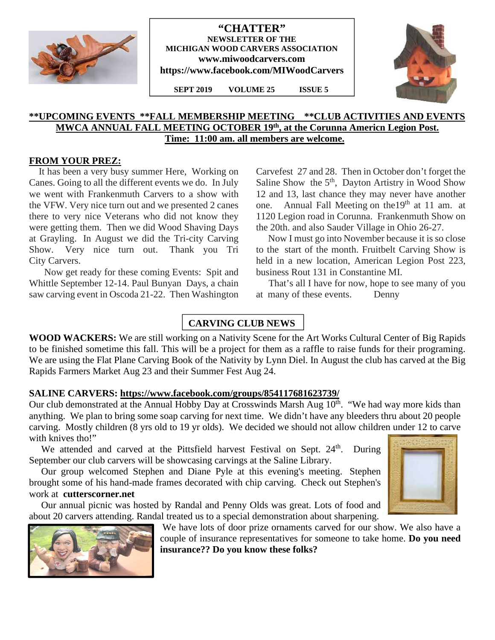

## **"CHATTER" NEWSLETTER OF THE MICHIGAN WOOD CARVERS ASSOCIATION www.miwoodcarvers.com https://www.facebook.com/MIWoodCarvers**

**SEPT 2019 VOLUME 25 ISSUE 5**



## **\*\*UPCOMING EVENTS \*\*FALL MEMBERSHIP MEETING \*\*CLUB ACTIVITIES AND EVENTS MWCA ANNUAL FALL MEETING OCTOBER 19th, at the Corunna Americn Legion Post. Time: 11:00 am. all members are welcome.**

## **FROM YOUR PREZ:**

It has been a very busy summer Here, Working on Canes. Going to all the different events we do. In July we went with Frankenmuth Carvers to a show with the VFW. Very nice turn out and we presented 2 canes there to very nice Veterans who did not know they were getting them. Then we did Wood Shaving Days at Grayling. In August we did the Tri-city Carving Show. Very nice turn out. Thank you Tri City Carvers.

Now get ready for these coming Events: Spit and Whittle September 12-14. Paul Bunyan Days, a chain saw carving event in Oscoda 21-22. Then Washington Carvefest 27 and 28. Then in October don't forget the Saline Show the  $5<sup>th</sup>$ , Dayton Artistry in Wood Show 12 and 13, last chance they may never have another one. Annual Fall Meeting on the 19<sup>th</sup> at 11 am. at 1120 Legion road in Corunna. Frankenmuth Show on the 20th. and also Sauder Village in Ohio 26-27.

Now I must go into November because it is so close to the start of the month. Fruitbelt Carving Show is held in a new location, American Legion Post 223, business Rout 131 in Constantine MI.

That's all I have for now, hope to see many of you at many of these events. Denny

# **CARVING CLUB NEWS**

**WOOD WACKERS:** We are still working on a Nativity Scene for the Art Works Cultural Center of Big Rapids to be finished sometime this fall. This will be a project for them as a raffle to raise funds for their programing. We are using the Flat Plane Carving Book of the Nativity by Lynn Diel. In August the club has carved at the Big Rapids Farmers Market Aug 23 and their Summer Fest Aug 24.

## **SALINE CARVERS: https://www.facebook.com/groups/854117681623739/**

Our club demonstrated at the Annual Hobby Day at Crosswinds Marsh Aug 10<sup>th</sup>. "We had way more kids than anything. We plan to bring some soap carving for next time. We didn't have any bleeders thru about 20 people carving. Mostly children (8 yrs old to 19 yr olds). We decided we should not allow children under 12 to carve with knives tho!"

We attended and carved at the Pittsfield harvest Festival on Sept. 24<sup>th</sup>. During September our club carvers will be showcasing carvings at the Saline Library.

Our group welcomed Stephen and Diane Pyle at this evening's meeting. Stephen brought some of his hand-made frames decorated with chip carving. Check out Stephen's work at **cutterscorner.net**

Our annual picnic was hosted by Randal and Penny Olds was great. Lots of food and about 20 carvers attending. Randal treated us to a special demonstration about sharpening.



We have lots of door prize ornaments carved for our show. We also have a couple of insurance representatives for someone to take home. **Do you need insurance?? Do you know these folks?**

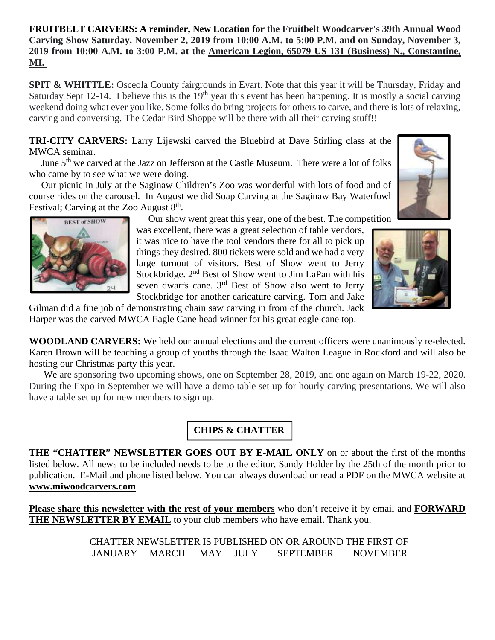# **FRUITBELT CARVERS: A reminder, New Location for the Fruitbelt Woodcarver's 39th Annual Wood Carving Show Saturday, November 2, 2019 from 10:00 A.M. to 5:00 P.M. and on Sunday, November 3, 2019 from 10:00 A.M. to 3:00 P.M. at the American Legion, 65079 US 131 (Business) N., Constantine, MI.**

**SPIT & WHITTLE:** Osceola County fairgrounds in Evart. Note that this year it will be Thursday, Friday and Saturday Sept 12-14. I believe this is the  $19<sup>th</sup>$  year this event has been happening. It is mostly a social carving weekend doing what ever you like. Some folks do bring projects for others to carve, and there is lots of relaxing, carving and conversing. The Cedar Bird Shoppe will be there with all their carving stuff!!

**TRI-CITY CARVERS:** Larry Lijewski carved the Bluebird at Dave Stirling class at the MWCA seminar.

June 5<sup>th</sup> we carved at the Jazz on Jefferson at the Castle Museum. There were a lot of folks who came by to see what we were doing.

Our picnic in July at the Saginaw Children's Zoo was wonderful with lots of food and of course rides on the carousel. In August we did Soap Carving at the Saginaw Bay Waterfowl Festival; Carving at the Zoo August  $8<sup>th</sup>$ .

Our show went great this year, one of the best. The competition

was excellent, there was a great selection of table vendors, it was nice to have the tool vendors there for all to pick up things they desired. 800 tickets were sold and we had a very large turnout of visitors. Best of Show went to Jerry Stockbridge. 2nd Best of Show went to Jim LaPan with his seven dwarfs cane. 3<sup>rd</sup> Best of Show also went to Jerry Stockbridge for another caricature carving. Tom and Jake



Gilman did a fine job of demonstrating chain saw carving in from of the church. Jack Harper was the carved MWCA Eagle Cane head winner for his great eagle cane top.

**WOODLAND CARVERS:** We held our annual elections and the current officers were unanimously re-elected. Karen Brown will be teaching a group of youths through the Isaac Walton League in Rockford and will also be hosting our Christmas party this year.

We are sponsoring two upcoming shows, one on September 28, 2019, and one again on March 19-22, 2020. During the Expo in September we will have a demo table set up for hourly carving presentations. We will also have a table set up for new members to sign up.

# **CHIPS & CHATTER**

**THE "CHATTER" NEWSLETTER GOES OUT BY E-MAIL ONLY** on or about the first of the months listed below. All news to be included needs to be to the editor, Sandy Holder by the 25th of the month prior to publication. E-Mail and phone listed below. You can always download or read a PDF on the MWCA website at **www.miwoodcarvers.com**

**Please share this newsletter with the rest of your members** who don't receive it by email and **FORWARD THE NEWSLETTER BY EMAIL** to your club members who have email. Thank you.

> CHATTER NEWSLETTER IS PUBLISHED ON OR AROUND THE FIRST OF JANUARY MARCH MAY JULY SEPTEMBER NOVEMBER

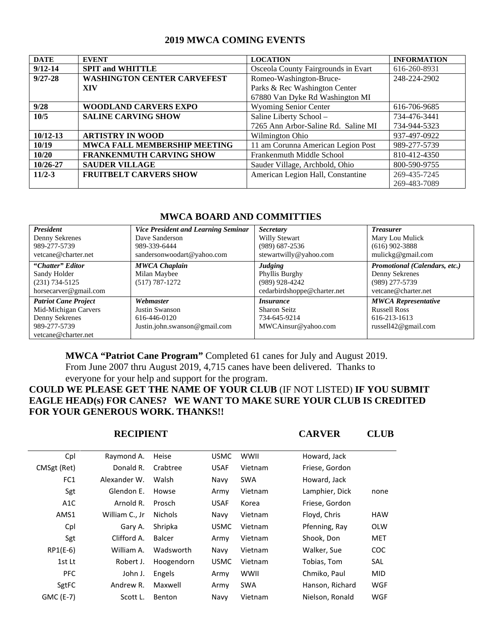## **2019 MWCA COMING EVENTS**

| <b>DATE</b>  | <b>EVENT</b>                       | <b>LOCATION</b>                     | <b>INFORMATION</b> |
|--------------|------------------------------------|-------------------------------------|--------------------|
| $9/12 - 14$  | <b>SPIT and WHITTLE</b>            | Osceola County Fairgrounds in Evart | 616-260-8931       |
| $9/27 - 28$  | <b>WASHINGTON CENTER CARVEFEST</b> | Romeo-Washington-Bruce-             | 248-224-2902       |
|              | XIV                                | Parks & Rec Washington Center       |                    |
|              |                                    | 67880 Van Dyke Rd Washington MI     |                    |
| 9/28         | <b>WOODLAND CARVERS EXPO</b>       | <b>Wyoming Senior Center</b>        | 616-706-9685       |
| 10/5         | <b>SALINE CARVING SHOW</b>         | Saline Liberty School -             | 734-476-3441       |
|              |                                    | 7265 Ann Arbor-Saline Rd. Saline MI | 734-944-5323       |
| $10/12 - 13$ | <b>ARTISTRY IN WOOD</b>            | Wilmington Ohio                     | 937-497-0922       |
| 10/19        | MWCA FALL MEMBERSHIP MEETING       | 11 am Corunna American Legion Post  | 989-277-5739       |
| 10/20        | <b>FRANKENMUTH CARVING SHOW</b>    | Frankenmuth Middle School           | 810-412-4350       |
| 10/26-27     | <b>SAUDER VILLAGE</b>              | Sauder Village, Archbold, Ohio      | 800-590-9755       |
| $11/2 - 3$   | <b>FRUITBELT CARVERS SHOW</b>      | American Legion Hall, Constantine   | 269-435-7245       |
|              |                                    |                                     | 269-483-7089       |

| инхел рудир анр солинп шво  |                                            |                             |                               |  |  |
|-----------------------------|--------------------------------------------|-----------------------------|-------------------------------|--|--|
| <b>President</b>            | <b>Vice President and Learning Seminar</b> | <b>Secretary</b>            | <b>Treasurer</b>              |  |  |
| Denny Sekrenes              | Dave Sanderson                             | Willy Stewart               | Mary Lou Mulick               |  |  |
| 989-277-5739                | 989-339-6444                               | $(989)$ 687-2536            | $(616)$ 902-3888              |  |  |
| vetcane@charter.net         | sandersonwoodart@yahoo.com                 | stewartwilly@yahoo.com      | mulickg@gmail.com             |  |  |
| "Chatter" Editor            | <b>MWCA Chaplain</b>                       | <b>Judging</b>              | Promotional (Calendars, etc.) |  |  |
| Sandy Holder                | Milan Maybee                               | Phyllis Burghy              | Denny Sekrenes                |  |  |
| $(231) 734 - 5125$          | $(517) 787 - 1272$                         | (989) 928-4242              | $(989)$ 277-5739              |  |  |
| horsecarver@gmail.com       |                                            | cedarbirdshoppe@charter.net | vetcane@charter.net           |  |  |
| <b>Patriot Cane Project</b> | Webmaster                                  | <i>Insurance</i>            | <b>MWCA Representative</b>    |  |  |
| Mid-Michigan Carvers        | Justin Swanson                             | <b>Sharon Seitz</b>         | <b>Russell Ross</b>           |  |  |
| Denny Sekrenes              | 616-446-0120                               | 734-645-9214                | 616-213-1613                  |  |  |
| 989-277-5739                | Justin.john.swanson@gmail.com              | MWCAinsur@yahoo.com         | russell $42@$ gmail.com       |  |  |
| vetcane@charter.net         |                                            |                             |                               |  |  |

## **MWCA BOARD AND COMMITTIES**

**MWCA "Patriot Cane Program"** Completed 61 canes for July and August 2019. From June 2007 thru August 2019, 4,715 canes have been delivered. Thanks to everyone for your help and support for the program.

# **COULD WE PLEASE GET THE NAME OF YOUR CLUB** (IF NOT LISTED) **IF YOU SUBMIT EAGLE HEAD(s) FOR CANES? WE WANT TO MAKE SURE YOUR CLUB IS CREDITED FOR YOUR GENEROUS WORK. THANKS!!**

**RECIPIENT CARVER CLUB**

| Cpl              | Raymond A.     | Heise          | <b>USMC</b> | <b>WWII</b> | Howard, Jack    |            |
|------------------|----------------|----------------|-------------|-------------|-----------------|------------|
| CMSgt (Ret)      | Donald R.      | Crabtree       | <b>USAF</b> | Vietnam     | Friese, Gordon  |            |
| FC1              | Alexander W.   | Walsh          | Navy        | <b>SWA</b>  | Howard, Jack    |            |
| Sgt              | Glendon E.     | Howse          | Army        | Vietnam     | Lamphier, Dick  | none       |
| A <sub>1</sub> C | Arnold R.      | <b>Prosch</b>  | <b>USAF</b> | Korea       | Friese, Gordon  |            |
| AMS1             | William C., Jr | <b>Nichols</b> | Navy        | Vietnam     | Floyd, Chris    | <b>HAW</b> |
| Cpl              | Gary A.        | Shripka        | <b>USMC</b> | Vietnam     | Pfenning, Ray   | <b>OLW</b> |
| Sgt              | Clifford A.    | Balcer         | Army        | Vietnam     | Shook, Don      | <b>MET</b> |
| $RP1(E-6)$       | William A.     | Wadsworth      | Navy        | Vietnam     | Walker, Sue     | <b>COC</b> |
| 1st Lt           | Robert J.      | Hoogendorn     | <b>USMC</b> | Vietnam     | Tobias, Tom     | <b>SAL</b> |
| <b>PFC</b>       | John J.        | Engels         | Army        | <b>WWII</b> | Chmiko, Paul    | <b>MID</b> |
| SgtFC            | Andrew R.      | Maxwell        | Army        | <b>SWA</b>  | Hanson, Richard | <b>WGF</b> |
| GMC (E-7)        | Scott L.       | Benton         | Navy        | Vietnam     | Nielson, Ronald | <b>WGF</b> |